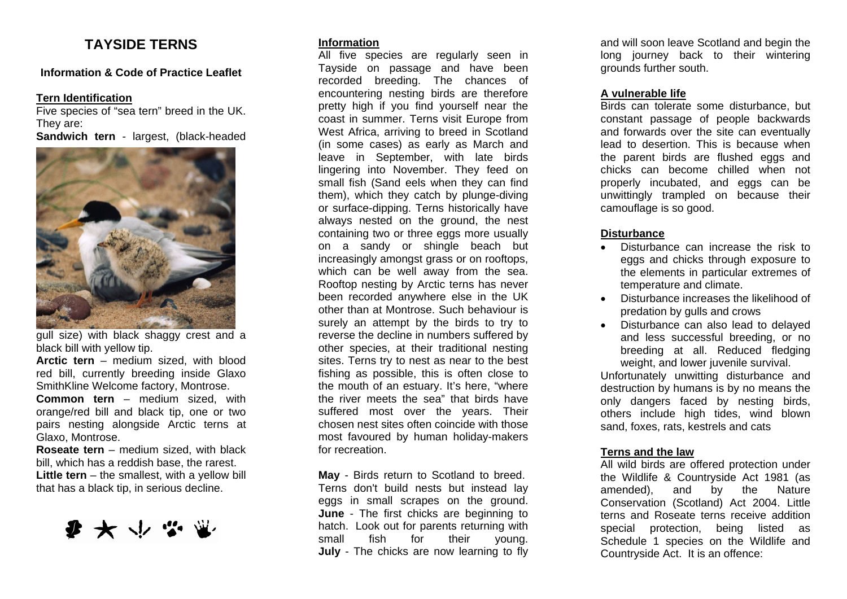# **TAYSIDE TERNS**

### **Information & Code of Practice Leaflet**

#### **Tern Identification**

Five species of "sea tern" breed in the UK. They are: **Sandwich tern** - largest, (black-headed



gull size) with black shaggy crest and a black bill with yellow tip.

**Arctic tern** – medium sized, with blood red bill, currently breeding inside Glaxo SmithKline Welcome factory, Montrose.

**Common tern** – medium sized, with orange/red bill and black tip, one or two pairs nesting alongside Arctic terns at Glaxo, Montrose.

**Roseate tern** – medium sized, with black bill, which has a reddish base, the rarest. **Little tern** – the smallest, with a yellow bill that has a black tip, in serious decline.



## **Information**

All five species are regularly seen in Tayside on passage and have been recorded breeding. The chances of encountering nesting birds are therefore pretty high if you find yourself near the coast in summer. Terns visit Europe from West Africa, arriving to breed in Scotland (in some cases) as early as March and leave in September, with late birds lingering into November. They feed on small fish (Sand eels when they can find them), which they catch by plunge-diving or surface-dipping. Terns historically have always nested on the ground, the nest containing two or three eggs more usually on a sandy or shingle beach but increasingly amongst grass or on rooftops, which can be well away from the sea. Rooftop nesting by Arctic terns has never been recorded anywhere else in the UK other than at Montrose. Such behaviour is surely an attempt by the birds to try to reverse the decline in numbers suffered by other species, at their traditional nesting sites. Terns try to nest as near to the best fishing as possible, this is often close to the mouth of an estuary. It's here, "where the river meets the sea" that birds have suffered most over the years. Their chosen nest sites often coincide with those most favoured by human holiday-makers for recreation.

**May** - Birds return to Scotland to breed. Terns don't build nests but instead lay eggs in small scrapes on the ground. **June** - The first chicks are beginning to hatch. Look out for parents returning with small fish for their young. **July** - The chicks are now learning to fly

and will soon leave Scotland and begin the long journey back to their wintering grounds further south.

## **A vulnerable life**

Birds can tolerate some disturbance, but constant passage of people backwards and forwards over the site can eventually lead to desertion. This is because when the parent birds are flushed eggs and chicks can become chilled when not properly incubated, and eggs can be unwittingly trampled on because their camouflage is so good.

# **Disturbance**

- Disturbance can increase the risk to eggs and chicks through exposure to the elements in particular extremes of temperature and climate.
- Disturbance increases the likelihood of predation by gulls and crows
- Disturbance can also lead to delayed and less successful breeding, or no breeding at all. Reduced fledging weight, and lower juvenile survival.

Unfortunately unwitting disturbance and destruction by humans is by no means the only dangers faced by nesting birds, others include high tides, wind blown sand, foxes, rats, kestrels and cats

### **Terns and the law**

All wild birds are offered protection under the Wildlife & Countryside Act 1981 (as amended), and by the Nature Conservation (Scotland) Act 2004. Little terns and Roseate terns receive addition special protection, being listed as Schedule 1 species on the Wildlife and Countryside Act. It is an offence: